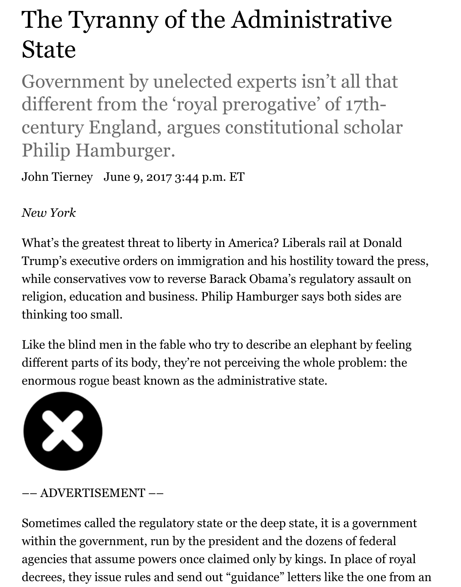# The Tyranny of the Administrative State

Government by unelected experts isn't all that different from the 'royal prerogative' of 17thcentury England, argues constitutional scholar Philip Hamburger.

John Tierney June 9, 2017 3:44 p.m. ET

*New York*

What's the greatest threat to liberty in America? Liberals rail at Donald Trump's executive orders on immigration and his hostility toward the press, while conservatives vow to reverse Barack Obama's regulatory assault on religion, education and business. Philip Hamburger says both sides are thinking too small.

Like the blind men in the fable who try to describe an elephant by feeling different parts of its body, they're not perceiving the whole problem: the enormous rogue beast known as the administrative state.



## –– ADVERTISEMENT ––

Sometimes called the regulatory state or the deep state, it is a government within the government, run by the president and the dozens of federal agencies that assume powers once claimed only by kings. In place of royal decrees, they issue rules and send out "guidance" letters like the one from an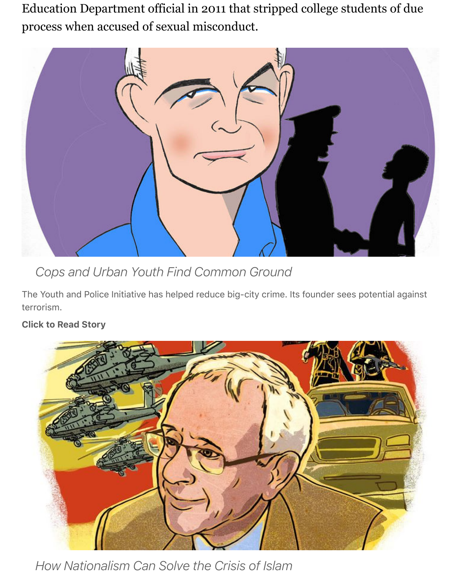Education Department official in 2011 that stripped college students of due process when accused of sexual misconduct.



*Cops and Urban Youth Find Common Ground*

The Youth and Police Initiative has helped reduce big-city crime. Its founder sees potential against terrorism.

### **Click to Read Story**



*How Nationalism Can Solve the Crisis of Islam*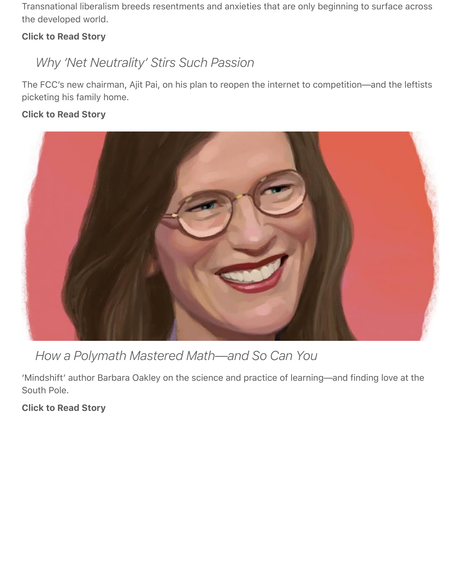Transnational liberalism breeds resentments and anxieties that are only beginning to surface across the developed world.

#### **Click to Read Story**

## *Why 'Net Neutrality' Stirs Such Passion*

The FCC's new chairman, Ajit Pai, on his plan to reopen the internet to competition—and the leftists picketing his family home.

#### **Click to Read Story**



*How a Polymath Mastered Math—and So Can You*

'Mindshift' author Barbara Oakley on the science and practice of learning—and finding love at the South Pole.

**Click to Read Story**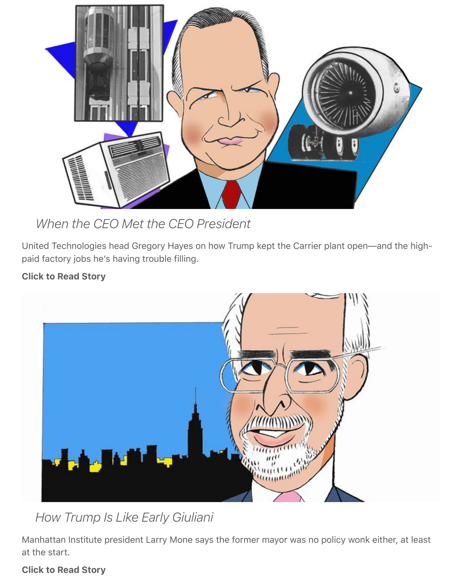

## *When the CEO Met the CEO President*

United Technologies head Gregory Hayes on how Trump kept the Carrier plant open—and the highpaid factory jobs he's having trouble filling.

#### **Click to Read Story**



## *How Trump Is Like Early Giuliani*

Manhattan Institute president Larry Mone says the former mayor was no policy wonk either, at least at the start.

### **Click to Read Story**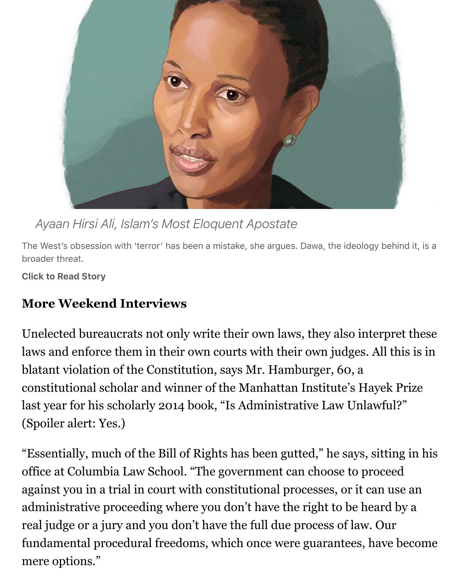

*Ayaan Hirsi Ali, Islam's Most Eloquent Apostate*

The West's obsession with 'terror' has been a mistake, she argues. Dawa, the ideology behind it, is a broader threat.

**Click to Read Story**

## **More Weekend Interviews**

Unelected bureaucrats not only write their own laws, they also interpret these laws and enforce them in their own courts with their own judges. All this is in blatant violation of the Constitution, says Mr. Hamburger, 60, a constitutional scholar and winner of the Manhattan Institute's Hayek Prize last year for his scholarly 2014 book, "Is Administrative Law Unlawful?" (Spoiler alert: Yes.)

"Essentially, much of the Bill of Rights has been gutted," he says, sitting in his office at Columbia Law School. "The government can choose to proceed against you in a trial in court with constitutional processes, or it can use an administrative proceeding where you don't have the right to be heard by a real judge or a jury and you don't have the full due process of law. Our fundamental procedural freedoms, which once were guarantees, have become mere options."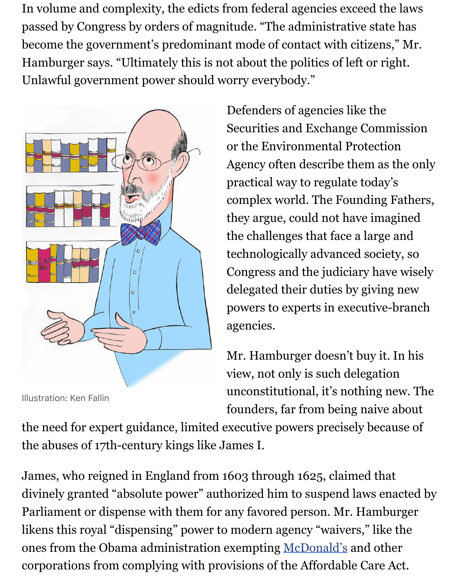In volume and complexity, the edicts from federal agencies exceed the laws passed by Congress by orders of magnitude. "The administrative state has become the government's predominant mode of contact with citizens," Mr. Hamburger says. "Ultimately this is not about the politics of left or right. Unlawful government power should worry everybody."



Illustration: Ken Fallin

Defenders of agencies like the Securities and Exchange Commission or the Environmental Protection Agency often describe them as the only practical way to regulate today's complex world. The Founding Fathers, they argue, could not have imagined the challenges that face a large and technologically advanced society, so Congress and the judiciary have wisely delegated their duties by giving new powers to experts in executive-branch agencies.

Mr. Hamburger doesn't buy it. In his view, not only is such delegation unconstitutional, it's nothing new. The founders, far from being naive about

the need for expert guidance, limited executive powers precisely because of the abuses of 17th-century kings like James I.

James, who reigned in England from 1603 through 1625, claimed that divinely granted "absolute power" authorized him to suspend laws enacted by Parliament or dispense with them for any favored person. Mr. Hamburger likens this royal "dispensing" power to modern agency "waivers," like the ones from the Obama administration exempting [McDonald's](http://quotes.wsj.com/MCD) and other corporations from complying with provisions of the Affordable Care Act.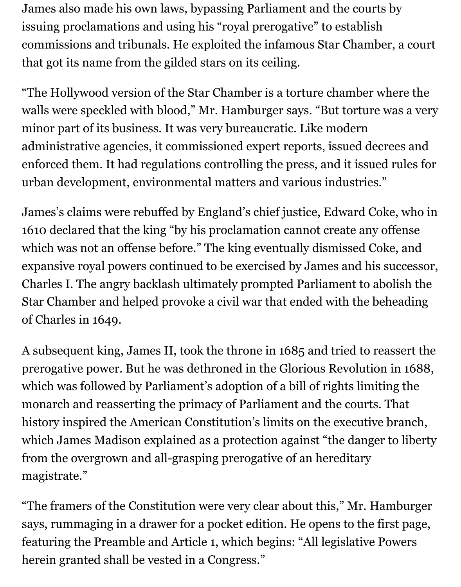James also made his own laws, bypassing Parliament and the courts by issuing proclamations and using his "royal prerogative" to establish commissions and tribunals. He exploited the infamous Star Chamber, a court that got its name from the gilded stars on its ceiling.

"The Hollywood version of the Star Chamber is a torture chamber where the walls were speckled with blood," Mr. Hamburger says. "But torture was a very minor part of its business. It was very bureaucratic. Like modern administrative agencies, it commissioned expert reports, issued decrees and enforced them. It had regulations controlling the press, and it issued rules for urban development, environmental matters and various industries."

James's claims were rebuffed by England's chief justice, Edward Coke, who in 1610 declared that the king "by his proclamation cannot create any offense which was not an offense before." The king eventually dismissed Coke, and expansive royal powers continued to be exercised by James and his successor, Charles I. The angry backlash ultimately prompted Parliament to abolish the Star Chamber and helped provoke a civil war that ended with the beheading of Charles in 1649.

A subsequent king, James II, took the throne in 1685 and tried to reassert the prerogative power. But he was dethroned in the Glorious Revolution in 1688, which was followed by Parliament's adoption of a bill of rights limiting the monarch and reasserting the primacy of Parliament and the courts. That history inspired the American Constitution's limits on the executive branch, which James Madison explained as a protection against "the danger to liberty from the overgrown and all-grasping prerogative of an hereditary magistrate."

"The framers of the Constitution were very clear about this," Mr. Hamburger says, rummaging in a drawer for a pocket edition. He opens to the first page, featuring the Preamble and Article 1, which begins: "All legislative Powers herein granted shall be vested in a Congress."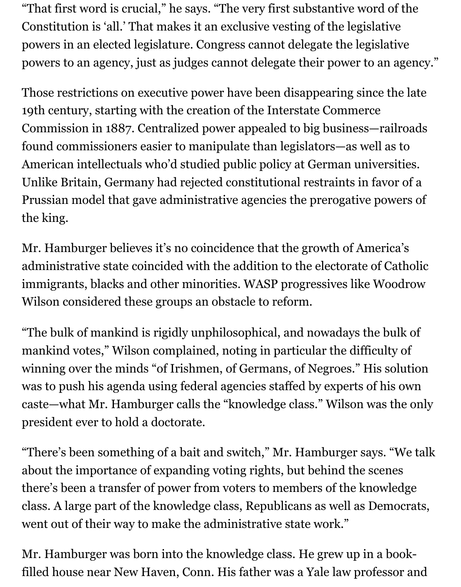"That first word is crucial," he says. "The very first substantive word of the Constitution is 'all.' That makes it an exclusive vesting of the legislative powers in an elected legislature. Congress cannot delegate the legislative powers to an agency, just as judges cannot delegate their power to an agency."

Those restrictions on executive power have been disappearing since the late 19th century, starting with the creation of the Interstate Commerce Commission in 1887. Centralized power appealed to big business—railroads found commissioners easier to manipulate than legislators—as well as to American intellectuals who'd studied public policy at German universities. Unlike Britain, Germany had rejected constitutional restraints in favor of a Prussian model that gave administrative agencies the prerogative powers of the king.

Mr. Hamburger believes it's no coincidence that the growth of America's administrative state coincided with the addition to the electorate of Catholic immigrants, blacks and other minorities. WASP progressives like Woodrow Wilson considered these groups an obstacle to reform.

"The bulk of mankind is rigidly unphilosophical, and nowadays the bulk of mankind votes," Wilson complained, noting in particular the difficulty of winning over the minds "of Irishmen, of Germans, of Negroes." His solution was to push his agenda using federal agencies staffed by experts of his own caste—what Mr. Hamburger calls the "knowledge class." Wilson was the only president ever to hold a doctorate.

"There's been something of a bait and switch," Mr. Hamburger says. "We talk about the importance of expanding voting rights, but behind the scenes there's been a transfer of power from voters to members of the knowledge class. A large part of the knowledge class, Republicans as well as Democrats, went out of their way to make the administrative state work."

Mr. Hamburger was born into the knowledge class. He grew up in a bookfilled house near New Haven, Conn. His father was a Yale law professor and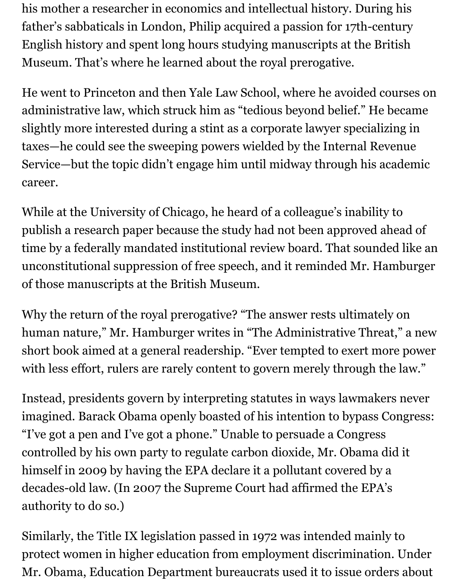his mother a researcher in economics and intellectual history. During his father's sabbaticals in London, Philip acquired a passion for 17th-century English history and spent long hours studying manuscripts at the British Museum. That's where he learned about the royal prerogative.

He went to Princeton and then Yale Law School, where he avoided courses on administrative law, which struck him as "tedious beyond belief." He became slightly more interested during a stint as a corporate lawyer specializing in taxes—he could see the sweeping powers wielded by the Internal Revenue Service—but the topic didn't engage him until midway through his academic career.

While at the University of Chicago, he heard of a colleague's inability to publish a research paper because the study had not been approved ahead of time by a federally mandated institutional review board. That sounded like an unconstitutional suppression of free speech, and it reminded Mr. Hamburger of those manuscripts at the British Museum.

Why the return of the royal prerogative? "The answer rests ultimately on human nature," Mr. Hamburger writes in "The Administrative Threat," a new short book aimed at a general readership. "Ever tempted to exert more power with less effort, rulers are rarely content to govern merely through the law."

Instead, presidents govern by interpreting statutes in ways lawmakers never imagined. Barack Obama openly boasted of his intention to bypass Congress: "I've got a pen and I've got a phone." Unable to persuade a Congress controlled by his own party to regulate carbon dioxide, Mr. Obama did it himself in 2009 by having the EPA declare it a pollutant covered by a decades-old law. (In 2007 the Supreme Court had affirmed the EPA's authority to do so.)

Similarly, the Title IX legislation passed in 1972 was intended mainly to protect women in higher education from employment discrimination. Under Mr. Obama, Education Department bureaucrats used it to issue orders about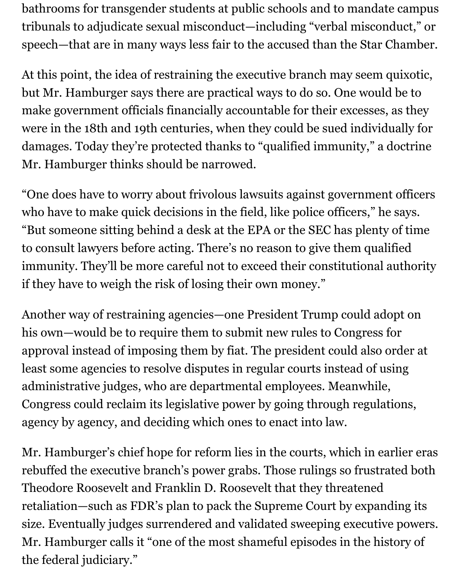bathrooms for transgender students at public schools and to mandate campus tribunals to adjudicate sexual misconduct—including "verbal misconduct," or speech—that are in many ways less fair to the accused than the Star Chamber.

At this point, the idea of restraining the executive branch may seem quixotic, but Mr. Hamburger says there are practical ways to do so. One would be to make government officials financially accountable for their excesses, as they were in the 18th and 19th centuries, when they could be sued individually for damages. Today they're protected thanks to "qualified immunity," a doctrine Mr. Hamburger thinks should be narrowed.

"One does have to worry about frivolous lawsuits against government officers who have to make quick decisions in the field, like police officers," he says. "But someone sitting behind a desk at the EPA or the SEC has plenty of time to consult lawyers before acting. There's no reason to give them qualified immunity. They'll be more careful not to exceed their constitutional authority if they have to weigh the risk of losing their own money."

Another way of restraining agencies—one President Trump could adopt on his own—would be to require them to submit new rules to Congress for approval instead of imposing them by fiat. The president could also order at least some agencies to resolve disputes in regular courts instead of using administrative judges, who are departmental employees. Meanwhile, Congress could reclaim its legislative power by going through regulations, agency by agency, and deciding which ones to enact into law.

Mr. Hamburger's chief hope for reform lies in the courts, which in earlier eras rebuffed the executive branch's power grabs. Those rulings so frustrated both Theodore Roosevelt and Franklin D. Roosevelt that they threatened retaliation—such as FDR's plan to pack the Supreme Court by expanding its size. Eventually judges surrendered and validated sweeping executive powers. Mr. Hamburger calls it "one of the most shameful episodes in the history of the federal judiciary."